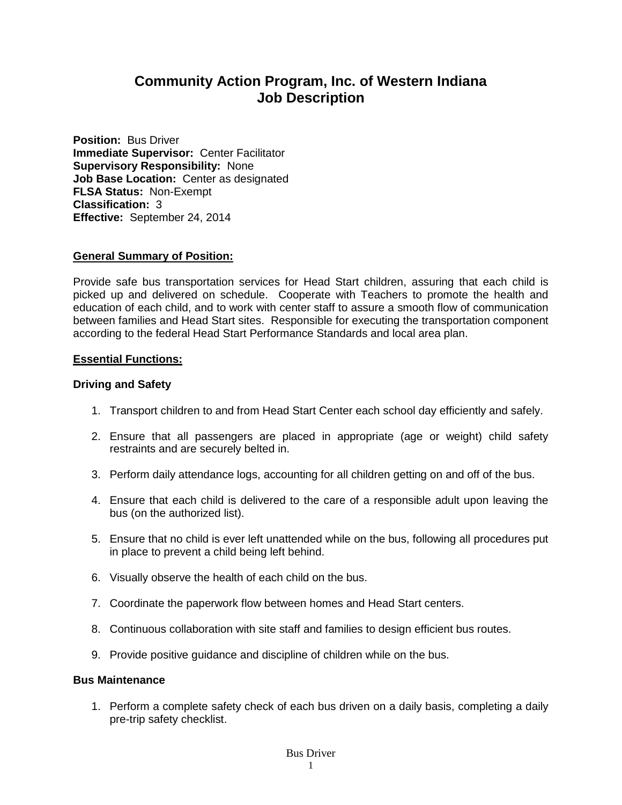# **Community Action Program, Inc. of Western Indiana Job Description**

**Position:** Bus Driver **Immediate Supervisor:** Center Facilitator **Supervisory Responsibility:** None **Job Base Location:** Center as designated **FLSA Status:** Non-Exempt **Classification:** 3 **Effective:** September 24, 2014

# **General Summary of Position:**

Provide safe bus transportation services for Head Start children, assuring that each child is picked up and delivered on schedule. Cooperate with Teachers to promote the health and education of each child, and to work with center staff to assure a smooth flow of communication between families and Head Start sites. Responsible for executing the transportation component according to the federal Head Start Performance Standards and local area plan.

### **Essential Functions:**

### **Driving and Safety**

- 1. Transport children to and from Head Start Center each school day efficiently and safely.
- 2. Ensure that all passengers are placed in appropriate (age or weight) child safety restraints and are securely belted in.
- 3. Perform daily attendance logs, accounting for all children getting on and off of the bus.
- 4. Ensure that each child is delivered to the care of a responsible adult upon leaving the bus (on the authorized list).
- 5. Ensure that no child is ever left unattended while on the bus, following all procedures put in place to prevent a child being left behind.
- 6. Visually observe the health of each child on the bus.
- 7. Coordinate the paperwork flow between homes and Head Start centers.
- 8. Continuous collaboration with site staff and families to design efficient bus routes.
- 9. Provide positive guidance and discipline of children while on the bus.

### **Bus Maintenance**

1. Perform a complete safety check of each bus driven on a daily basis, completing a daily pre-trip safety checklist.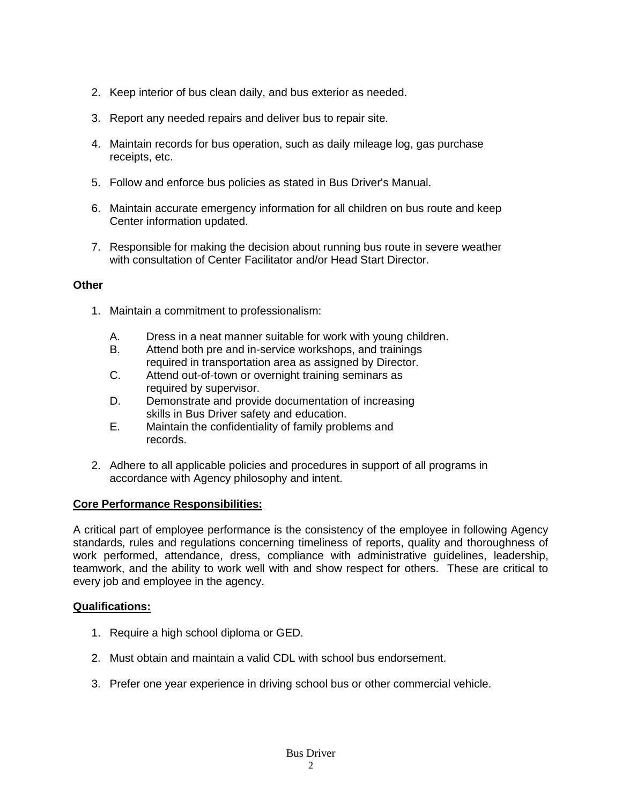- 2. Keep interior of bus clean daily, and bus exterior as needed.
- 3. Report any needed repairs and deliver bus to repair site.
- 4. Maintain records for bus operation, such as daily mileage log, gas purchase receipts, etc.
- 5. Follow and enforce bus policies as stated in Bus Driver's Manual.
- 6. Maintain accurate emergency information for all children on bus route and keep Center information updated.
- 7. Responsible for making the decision about running bus route in severe weather with consultation of Center Facilitator and/or Head Start Director.

# **Other**

- 1. Maintain a commitment to professionalism:
	- A. Dress in a neat manner suitable for work with young children.
	- B. Attend both pre and in-service workshops, and trainings required in transportation area as assigned by Director.
	- C. Attend out-of-town or overnight training seminars as required by supervisor.
	- D. Demonstrate and provide documentation of increasing skills in Bus Driver safety and education.
	- E. Maintain the confidentiality of family problems and records.
- 2. Adhere to all applicable policies and procedures in support of all programs in accordance with Agency philosophy and intent.

# **Core Performance Responsibilities:**

A critical part of employee performance is the consistency of the employee in following Agency standards, rules and regulations concerning timeliness of reports, quality and thoroughness of work performed, attendance, dress, compliance with administrative guidelines, leadership, teamwork, and the ability to work well with and show respect for others. These are critical to every job and employee in the agency.

# **Qualifications:**

- 1. Require a high school diploma or GED.
- 2. Must obtain and maintain a valid CDL with school bus endorsement.
- 3. Prefer one year experience in driving school bus or other commercial vehicle.